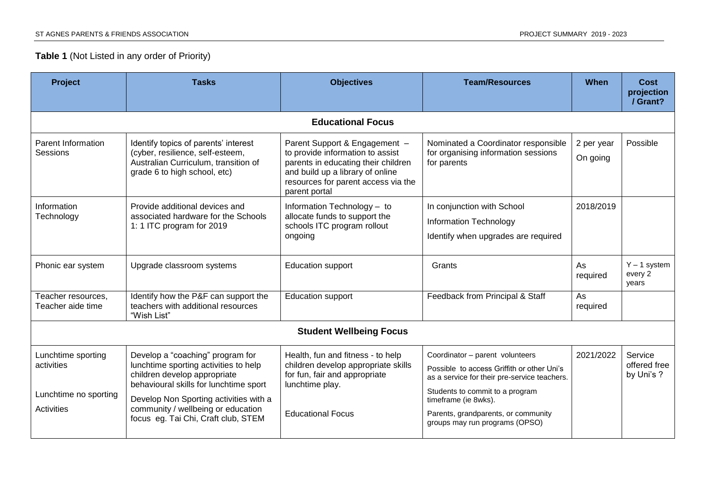## **Table 1** (Not Listed in any order of Priority)

| <b>Project</b>                                                          | <b>Tasks</b>                                                                                                                                                                                                                                                               | <b>Objectives</b>                                                                                                                                                                                    | <b>Team/Resources</b>                                                                                                                                                                                                                                             | When                   | Cost<br>projection<br>/ Grant?        |  |  |
|-------------------------------------------------------------------------|----------------------------------------------------------------------------------------------------------------------------------------------------------------------------------------------------------------------------------------------------------------------------|------------------------------------------------------------------------------------------------------------------------------------------------------------------------------------------------------|-------------------------------------------------------------------------------------------------------------------------------------------------------------------------------------------------------------------------------------------------------------------|------------------------|---------------------------------------|--|--|
| <b>Educational Focus</b>                                                |                                                                                                                                                                                                                                                                            |                                                                                                                                                                                                      |                                                                                                                                                                                                                                                                   |                        |                                       |  |  |
| Parent Information<br>Sessions                                          | Identify topics of parents' interest<br>(cyber, resilience, self-esteem,<br>Australian Curriculum, transition of<br>grade 6 to high school, etc)                                                                                                                           | Parent Support & Engagement -<br>to provide information to assist<br>parents in educating their children<br>and build up a library of online<br>resources for parent access via the<br>parent portal | Nominated a Coordinator responsible<br>for organising information sessions<br>for parents                                                                                                                                                                         | 2 per year<br>On going | Possible                              |  |  |
| Information<br>Technology                                               | Provide additional devices and<br>associated hardware for the Schools<br>1: 1 ITC program for 2019                                                                                                                                                                         | Information Technology - to<br>allocate funds to support the<br>schools ITC program rollout<br>ongoing                                                                                               | In conjunction with School<br><b>Information Technology</b><br>Identify when upgrades are required                                                                                                                                                                | 2018/2019              |                                       |  |  |
| Phonic ear system                                                       | Upgrade classroom systems                                                                                                                                                                                                                                                  | <b>Education support</b>                                                                                                                                                                             | Grants                                                                                                                                                                                                                                                            | As<br>required         | $Y - 1$ system<br>every 2<br>years    |  |  |
| Teacher resources,<br>Teacher aide time                                 | Identify how the P&F can support the<br>teachers with additional resources<br>"Wish List"                                                                                                                                                                                  | <b>Education support</b>                                                                                                                                                                             | Feedback from Principal & Staff                                                                                                                                                                                                                                   | As<br>required         |                                       |  |  |
| <b>Student Wellbeing Focus</b>                                          |                                                                                                                                                                                                                                                                            |                                                                                                                                                                                                      |                                                                                                                                                                                                                                                                   |                        |                                       |  |  |
| Lunchtime sporting<br>activities<br>Lunchtime no sporting<br>Activities | Develop a "coaching" program for<br>lunchtime sporting activities to help<br>children develop appropriate<br>behavioural skills for lunchtime sport<br>Develop Non Sporting activities with a<br>community / wellbeing or education<br>focus eg. Tai Chi, Craft club, STEM | Health, fun and fitness - to help<br>children develop appropriate skills<br>for fun, fair and appropriate<br>lunchtime play.<br><b>Educational Focus</b>                                             | Coordinator - parent volunteers<br>Possible to access Griffith or other Uni's<br>as a service for their pre-service teachers.<br>Students to commit to a program<br>timeframe (ie 8wks).<br>Parents, grandparents, or community<br>groups may run programs (OPSO) | 2021/2022              | Service<br>offered free<br>by Uni's ? |  |  |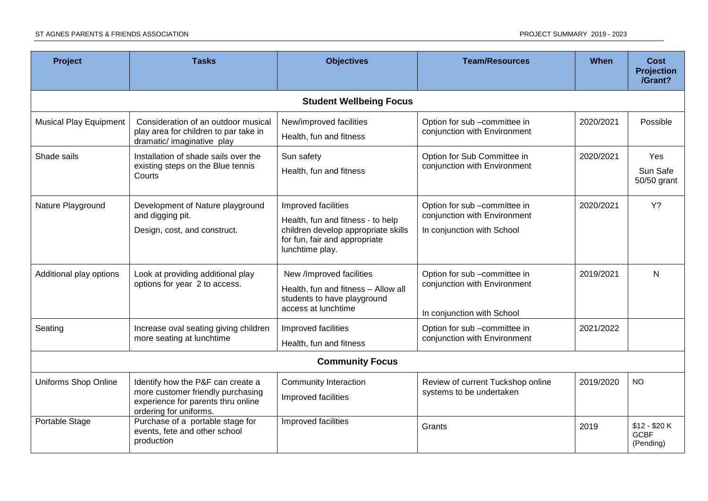| <b>Project</b>                 | <b>Tasks</b>                                                                                                                           | <b>Objectives</b>                                                                                                                                   | <b>Team/Resources</b>                                                                      | When      | <b>Cost</b><br><b>Projection</b><br>/Grant? |  |  |
|--------------------------------|----------------------------------------------------------------------------------------------------------------------------------------|-----------------------------------------------------------------------------------------------------------------------------------------------------|--------------------------------------------------------------------------------------------|-----------|---------------------------------------------|--|--|
| <b>Student Wellbeing Focus</b> |                                                                                                                                        |                                                                                                                                                     |                                                                                            |           |                                             |  |  |
| <b>Musical Play Equipment</b>  | Consideration of an outdoor musical<br>play area for children to par take in<br>dramatic/ imaginative play                             | New/improved facilities<br>Health, fun and fitness                                                                                                  | Option for sub -committee in<br>conjunction with Environment                               | 2020/2021 | Possible                                    |  |  |
| Shade sails                    | Installation of shade sails over the<br>existing steps on the Blue tennis<br>Courts                                                    | Sun safety<br>Health, fun and fitness                                                                                                               | Option for Sub Committee in<br>conjunction with Environment                                | 2020/2021 | Yes<br>Sun Safe<br>50/50 grant              |  |  |
| Nature Playground              | Development of Nature playground<br>and digging pit.<br>Design, cost, and construct.                                                   | Improved facilities<br>Health, fun and fitness - to help<br>children develop appropriate skills<br>for fun, fair and appropriate<br>lunchtime play. | Option for sub -committee in<br>conjunction with Environment<br>In conjunction with School | 2020/2021 | $Y$ ?                                       |  |  |
| Additional play options        | Look at providing additional play<br>options for year 2 to access.                                                                     | New /Improved facilities<br>Health, fun and fitness - Allow all<br>students to have playground<br>access at lunchtime                               | Option for sub -committee in<br>conjunction with Environment<br>In conjunction with School | 2019/2021 | N                                           |  |  |
| Seating                        | Increase oval seating giving children<br>more seating at lunchtime                                                                     | Improved facilities<br>Health, fun and fitness                                                                                                      | Option for sub -committee in<br>conjunction with Environment                               | 2021/2022 |                                             |  |  |
| <b>Community Focus</b>         |                                                                                                                                        |                                                                                                                                                     |                                                                                            |           |                                             |  |  |
| Uniforms Shop Online           | Identify how the P&F can create a<br>more customer friendly purchasing<br>experience for parents thru online<br>ordering for uniforms. | <b>Community Interaction</b><br>Improved facilities                                                                                                 | Review of current Tuckshop online<br>systems to be undertaken                              | 2019/2020 | <b>NO</b>                                   |  |  |
| Portable Stage                 | Purchase of a portable stage for<br>events, fete and other school<br>production                                                        | Improved facilities                                                                                                                                 | Grants                                                                                     | 2019      | $$12 - $20 K$<br><b>GCBF</b><br>(Pending)   |  |  |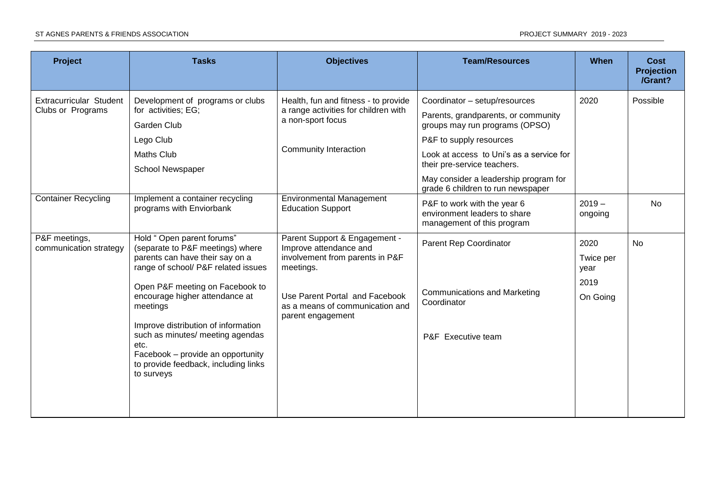| Project                                      | <b>Tasks</b>                                                                                                                                                                                                                                                                                                                                                                                            | <b>Objectives</b>                                                                                                                                                                                 | <b>Team/Resources</b>                                                                              | <b>When</b>                                   | Cost<br><b>Projection</b><br>/Grant? |
|----------------------------------------------|---------------------------------------------------------------------------------------------------------------------------------------------------------------------------------------------------------------------------------------------------------------------------------------------------------------------------------------------------------------------------------------------------------|---------------------------------------------------------------------------------------------------------------------------------------------------------------------------------------------------|----------------------------------------------------------------------------------------------------|-----------------------------------------------|--------------------------------------|
| Extracurricular Student<br>Clubs or Programs | Development of programs or clubs                                                                                                                                                                                                                                                                                                                                                                        | Health, fun and fitness - to provide<br>a range activities for children with<br>a non-sport focus                                                                                                 | Coordinator - setup/resources                                                                      | 2020                                          | Possible                             |
|                                              | for activities; EG;<br>Garden Club                                                                                                                                                                                                                                                                                                                                                                      |                                                                                                                                                                                                   | Parents, grandparents, or community<br>groups may run programs (OPSO)                              |                                               |                                      |
|                                              | Lego Club                                                                                                                                                                                                                                                                                                                                                                                               | Community Interaction                                                                                                                                                                             | P&F to supply resources                                                                            |                                               |                                      |
|                                              | <b>Maths Club</b><br>School Newspaper                                                                                                                                                                                                                                                                                                                                                                   |                                                                                                                                                                                                   | Look at access to Uni's as a service for<br>their pre-service teachers.                            |                                               |                                      |
|                                              |                                                                                                                                                                                                                                                                                                                                                                                                         |                                                                                                                                                                                                   | May consider a leadership program for<br>grade 6 children to run newspaper                         |                                               |                                      |
| <b>Container Recycling</b>                   | Implement a container recycling<br>programs with Enviorbank                                                                                                                                                                                                                                                                                                                                             | <b>Environmental Management</b><br><b>Education Support</b>                                                                                                                                       | P&F to work with the year 6<br>environment leaders to share<br>management of this program          | $2019 -$<br>ongoing                           | <b>No</b>                            |
| P&F meetings,<br>communication strategy      | Hold " Open parent forums"<br>(separate to P&F meetings) where<br>parents can have their say on a<br>range of school/ P&F related issues<br>Open P&F meeting on Facebook to<br>encourage higher attendance at<br>meetings<br>Improve distribution of information<br>such as minutes/ meeting agendas<br>etc.<br>Facebook - provide an opportunity<br>to provide feedback, including links<br>to surveys | Parent Support & Engagement -<br>Improve attendance and<br>involvement from parents in P&F<br>meetings.<br>Use Parent Portal and Facebook<br>as a means of communication and<br>parent engagement | Parent Rep Coordinator<br><b>Communications and Marketing</b><br>Coordinator<br>P&F Executive team | 2020<br>Twice per<br>year<br>2019<br>On Going | <b>No</b>                            |